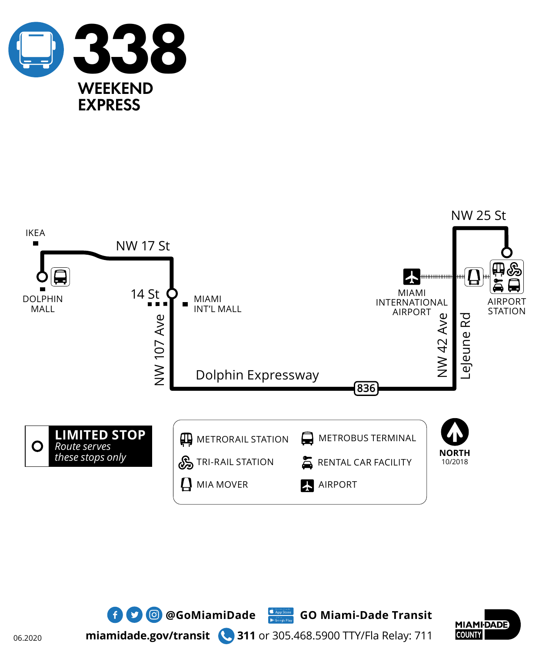





**miamidade.gov/transit 311** or 305.468.5900 TTY/Fla Relay: 711

 $\bullet$  **0 @GoMiamiDade** GO Miami-Dade Transit

06.2020